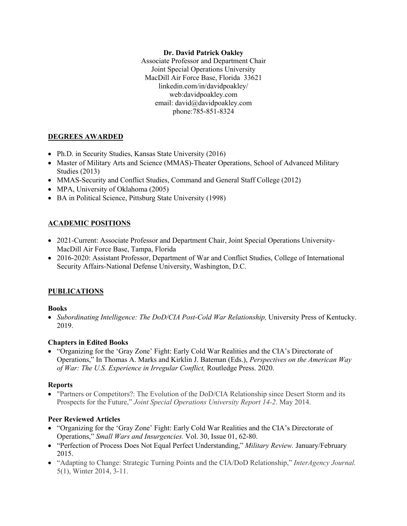### **Dr. David Patrick Oakley**

Associate Professor and Department Chair Joint Special Operations University MacDill Air Force Base, Florida 33621 linkedin.com/in/davidpoakley/ web:davidpoakley.com email: david@davidpoakley.com phone:785-851-8324

# **DEGREES AWARDED**

- Ph.D. in Security Studies, Kansas State University (2016)
- Master of Military Arts and Science (MMAS)-Theater Operations, School of Advanced Military Studies (2013)
- MMAS-Security and Conflict Studies, Command and General Staff College (2012)
- MPA, University of Oklahoma (2005)
- BA in Political Science, Pittsburg State University (1998)

## **ACADEMIC POSITIONS**

- 2021-Current: Associate Professor and Department Chair, Joint Special Operations University-MacDill Air Force Base, Tampa, Florida
- 2016-2020: Assistant Professor, Department of War and Conflict Studies, College of International Security Affairs-National Defense University, Washington, D.C.

## **PUBLICATIONS**

### **Books**

• *Subordinating Intelligence: The DoD/CIA Post-Cold War Relationship*, University Press of Kentucky. 2019.

## **Chapters in Edited Books**

• "Organizing for the 'Gray Zone' Fight: Early Cold War Realities and the CIA's Directorate of Operations," In Thomas A. Marks and Kirklin J. Bateman (Eds.), *Perspectives on the American Way of War: The U.S. Experience in Irregular Conflict,* Routledge Press. 2020.

### **Reports**

• "Partners or Competitors?: The Evolution of the DoD/CIA Relationship since Desert Storm and its Prospects for the Future," *Joint Special Operations University Report 14-2*. May 2014.

## **Peer Reviewed Articles**

- "Organizing for the 'Gray Zone' Fight: Early Cold War Realities and the CIA's Directorate of Operations," *Small Wars and Insurgencies.* Vol. 30, Issue 01, 62-80.
- "Perfection of Process Does Not Equal Perfect Understanding," *Military Review.* January/February 2015.
- "Adapting to Change: Strategic Turning Points and the CIA/DoD Relationship," *InterAgency Journal.* 5(1), Winter 2014, 3-11.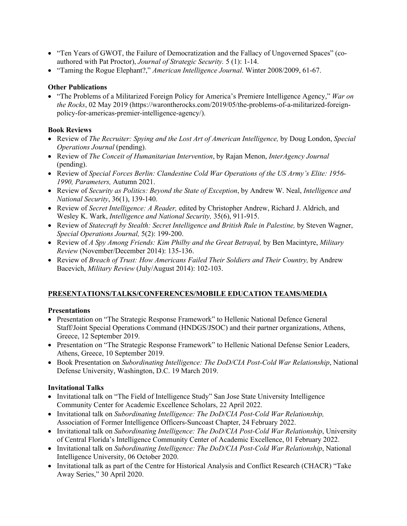- "Ten Years of GWOT, the Failure of Democratization and the Fallacy of Ungoverned Spaces" (coauthored with Pat Proctor), *Journal of Strategic Security.* 5 (1): 1-14.
- "Taming the Rogue Elephant?," *American Intelligence Journal*. Winter 2008/2009, 61-67.

### **Other Publications**

• "The Problems of a Militarized Foreign Policy for America's Premiere Intelligence Agency," *War on the Rocks*, 02 May 2019 (https://warontherocks.com/2019/05/the-problems-of-a-militarized-foreignpolicy-for-americas-premier-intelligence-agency/).

## **Book Reviews**

- Review of *The Recruiter: Spying and the Lost Art of American Intelligence,* by Doug London, *Special Operations Journal (pending).*
- Review of *The Conceit of Humanitarian Intervention*, by Rajan Menon, *InterAgency Journal*  (pending).
- Review of *Special Forces Berlin: Clandestine Cold War Operations of the US Army's Elite: 1956- 1990, Parameters,* Autumn 2021.
- Review of *Security as Politics: Beyond the State of Exception*, by Andrew W. Neal, *Intelligence and National Security*, 36(1), 139-140.
- Review of *Secret Intelligence: A Reader,* edited by Christopher Andrew, Richard J. Aldrich, and Wesley K. Wark, *Intelligence and National Security,* 35(6), 911-915.
- Review of *Statecraft by Stealth: Secret Intelligence and British Rule in Palestine,* by Steven Wagner, *Special Operations Journal,* 5(2): 199-200.
- Review of *A Spy Among Friends: Kim Philby and the Great Betrayal,* by Ben Macintyre, *Military Review* (November/December 2014): 135-136.
- Review of *Breach of Trust: How Americans Failed Their Soldiers and Their Country*, by Andrew Bacevich, *Military Review* (July/August 2014): 102-103.

## **PRESENTATIONS/TALKS/CONFERENCES/MOBILE EDUCATION TEAMS/MEDIA**

## **Presentations**

- Presentation on "The Strategic Response Framework" to Hellenic National Defence General Staff/Joint Special Operations Command (HNDGS/JSOC) and their partner organizations, Athens, Greece, 12 September 2019.
- Presentation on "The Strategic Response Framework" to Hellenic National Defense Senior Leaders, Athens, Greece, 10 September 2019.
- Book Presentation on *Subordinating Intelligence: The DoD/CIA Post-Cold War Relationship*, National Defense University, Washington, D.C. 19 March 2019.

## **Invitational Talks**

- Invitational talk on "The Field of Intelligence Study" San Jose State University Intelligence Community Center for Academic Excellence Scholars, 22 April 2022.
- Invitational talk on *Subordinating Intelligence: The DoD/CIA Post-Cold War Relationship,*  Association of Former Intelligence Officers-Suncoast Chapter, 24 February 2022.
- Invitational talk on *Subordinating Intelligence: The DoD/CIA Post-Cold War Relationship*, University of Central Florida's Intelligence Community Center of Academic Excellence, 01 February 2022.
- Invitational talk on *Subordinating Intelligence: The DoD/CIA Post-Cold War Relationship*, National Intelligence University, 06 October 2020.
- Invitational talk as part of the Centre for Historical Analysis and Conflict Research (CHACR) "Take Away Series," 30 April 2020.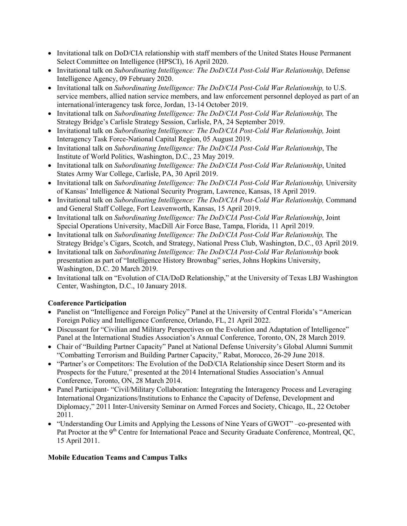- Invitational talk on DoD/CIA relationship with staff members of the United States House Permanent Select Committee on Intelligence (HPSCI), 16 April 2020.
- Invitational talk on *Subordinating Intelligence: The DoD/CIA Post-Cold War Relationship*, Defense Intelligence Agency, 09 February 2020.
- Invitational talk on *Subordinating Intelligence: The DoD/CIA Post-Cold War Relationship,* to U.S. service members, allied nation service members, and law enforcement personnel deployed as part of an international/interagency task force, Jordan, 13-14 October 2019.
- Invitational talk on *Subordinating Intelligence: The DoD/CIA Post-Cold War Relationship*, The Strategy Bridge's Carlisle Strategy Session, Carlisle, PA, 24 September 2019.
- Invitational talk on *Subordinating Intelligence: The DoD/CIA Post-Cold War Relationship,* Joint Interagency Task Force-National Capital Region, 05 August 2019.
- Invitational talk on *Subordinating Intelligence: The DoD/CIA Post-Cold War Relationship*, The Institute of World Politics, Washington, D.C., 23 May 2019.
- Invitational talk on *Subordinating Intelligence: The DoD/CIA Post-Cold War Relationship*, United States Army War College, Carlisle, PA, 30 April 2019.
- Invitational talk on *Subordinating Intelligence: The DoD/CIA Post-Cold War Relationship*, University of Kansas' Intelligence & National Security Program, Lawrence, Kansas, 18 April 2019.
- Invitational talk on *Subordinating Intelligence: The DoD/CIA Post-Cold War Relationship,* Command and General Staff College, Fort Leavenworth, Kansas, 15 April 2019.
- Invitational talk on *Subordinating Intelligence: The DoD/CIA Post-Cold War Relationship*, Joint Special Operations University, MacDill Air Force Base, Tampa, Florida, 11 April 2019.
- Invitational talk on *Subordinating Intelligence: The DoD/CIA Post-Cold War Relationship,* The Strategy Bridge's Cigars, Scotch, and Strategy, National Press Club, Washington, D.C., 03 April 2019.
- Invitational talk on *Subordinating Intelligence: The DoD/CIA Post-Cold War Relationship* book presentation as part of "Intelligence History Brownbag" series, Johns Hopkins University, Washington, D.C. 20 March 2019.
- Invitational talk on "Evolution of CIA/DoD Relationship," at the University of Texas LBJ Washington Center, Washington, D.C., 10 January 2018.

# **Conference Participation**

- Panelist on "Intelligence and Foreign Policy" Panel at the University of Central Florida's "American Foreign Policy and Intelligence Conference, Orlando, FL, 21 April 2022.
- Discussant for "Civilian and Military Perspectives on the Evolution and Adaptation of Intelligence" Panel at the International Studies Association's Annual Conference, Toronto, ON, 28 March 2019.
- Chair of "Building Partner Capacity" Panel at National Defense University's Global Alumni Summit "Combatting Terrorism and Building Partner Capacity," Rabat, Morocco, 26-29 June 2018.
- "Partner's or Competitors: The Evolution of the DoD/CIA Relationship since Desert Storm and its Prospects for the Future," presented at the 2014 International Studies Association's Annual Conference, Toronto, ON, 28 March 2014.
- Panel Participant- "Civil/Military Collaboration: Integrating the Interagency Process and Leveraging International Organizations/Institutions to Enhance the Capacity of Defense, Development and Diplomacy," 2011 Inter-University Seminar on Armed Forces and Society, Chicago, IL, 22 October 2011.
- "Understanding Our Limits and Applying the Lessons of Nine Years of GWOT" –co-presented with Pat Proctor at the 9<sup>th</sup> Centre for International Peace and Security Graduate Conference, Montreal, OC, 15 April 2011.

## **Mobile Education Teams and Campus Talks**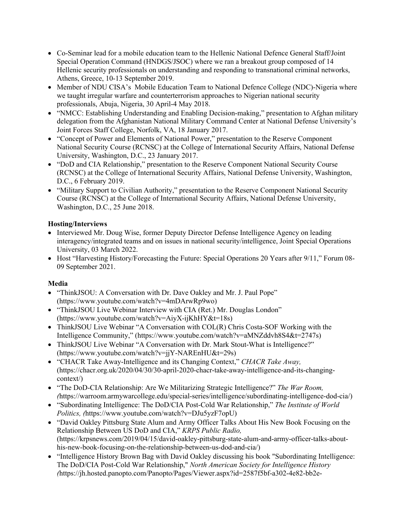- Co-Seminar lead for a mobile education team to the Hellenic National Defence General Staff/Joint Special Operation Command (HNDGS/JSOC) where we ran a breakout group composed of 14 Hellenic security professionals on understanding and responding to transnational criminal networks, Athens, Greece, 10-13 September 2019.
- Member of NDU CISA's Mobile Education Team to National Defence College (NDC)-Nigeria where we taught irregular warfare and counterterrorism approaches to Nigerian national security professionals, Abuja, Nigeria, 30 April-4 May 2018.
- "NMCC: Establishing Understanding and Enabling Decision-making," presentation to Afghan military delegation from the Afghanistan National Military Command Center at National Defense University's Joint Forces Staff College, Norfolk, VA, 18 January 2017.
- "Concept of Power and Elements of National Power," presentation to the Reserve Component National Security Course (RCNSC) at the College of International Security Affairs, National Defense University, Washington, D.C., 23 January 2017.
- "DoD and CIA Relationship," presentation to the Reserve Component National Security Course (RCNSC) at the College of International Security Affairs, National Defense University, Washington, D.C., 6 February 2019.
- "Military Support to Civilian Authority," presentation to the Reserve Component National Security Course (RCNSC) at the College of International Security Affairs, National Defense University, Washington, D.C., 25 June 2018.

# **Hosting/Interviews**

- Interviewed Mr. Doug Wise, former Deputy Director Defense Intelligence Agency on leading interagency/integrated teams and on issues in national security/intelligence, Joint Special Operations University, 03 March 2022.
- Host "Harvesting History/Forecasting the Future: Special Operations 20 Years after 9/11," Forum 08- 09 September 2021.

## **Media**

- "ThinkJSOU: A Conversation with Dr. Dave Oakley and Mr. J. Paul Pope" (https://www.youtube.com/watch?v=4mDArwRp9wo)
- "ThinkJSOU Live Webinar Interview with CIA (Ret.) Mr. Douglas London" (https://www.youtube.com/watch?v=AiyX-ijKhHY&t=18s)
- ThinkJSOU Live Webinar "A Conversation with COL(R) Chris Costa-SOF Working with the Intelligence Community," (https://www.youtube.com/watch?v=aMNZddvh8S4&t=2747s)
- ThinkJSOU Live Webinar "A Conversation with Dr. Mark Stout-What is Intelligence?" (https://www.youtube.com/watch?v=jjY-NAREnHU&t=29s)
- "CHACR Take Away-Intelligence and its Changing Context," *CHACR Take Away,*  (https://chacr.org.uk/2020/04/30/30-april-2020-chacr-take-away-intelligence-and-its-changingcontext/)
- "The DoD-CIA Relationship: Are We Militarizing Strategic Intelligence?" *The War Room, (*https://warroom.armywarcollege.edu/special-series/intelligence/subordinating-intelligence-dod-cia/)
- "Subordinating Intelligence: The DoD/CIA Post-Cold War Relationship," *The Institute of World Politics, (*https://www.youtube.com/watch?v=DJu5yzF7opU)
- "David Oakley Pittsburg State Alum and Army Officer Talks About His New Book Focusing on the Relationship Between US DoD and CIA," *KRPS Public Radio,*  (https://krpsnews.com/2019/04/15/david-oakley-pittsburg-state-alum-and-army-officer-talks-abouthis-new-book-focusing-on-the-relationship-between-us-dod-and-cia/)
- "Intelligence History Brown Bag with David Oakley discussing his book "Subordinating Intelligence: The DoD/CIA Post-Cold War Relationship," *North American Society for Intelligence History (*https://jh.hosted.panopto.com/Panopto/Pages/Viewer.aspx?id=2587f5bf-a302-4e82-bb2e-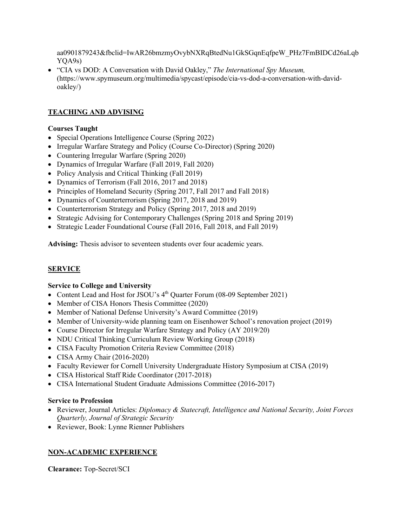aa0901879243&fbclid=IwAR26bmzmyOvybNXRqBtedNu1GkSGqnEqfpeW\_PHz7FmBIDCd26aLqb YQA9s)

• "CIA vs DOD: A Conversation with David Oakley," *The International Spy Museum,* (https://www.spymuseum.org/multimedia/spycast/episode/cia-vs-dod-a-conversation-with-davidoakley/)

# **TEACHING AND ADVISING**

### **Courses Taught**

- Special Operations Intelligence Course (Spring 2022)
- Irregular Warfare Strategy and Policy (Course Co-Director) (Spring 2020)
- Countering Irregular Warfare (Spring 2020)
- Dynamics of Irregular Warfare (Fall 2019, Fall 2020)
- Policy Analysis and Critical Thinking (Fall 2019)
- Dynamics of Terrorism (Fall 2016, 2017 and 2018)
- Principles of Homeland Security (Spring 2017, Fall 2017 and Fall 2018)
- Dynamics of Counterterrorism (Spring 2017, 2018 and 2019)
- Counterterrorism Strategy and Policy (Spring 2017, 2018 and 2019)
- Strategic Advising for Contemporary Challenges (Spring 2018 and Spring 2019)
- Strategic Leader Foundational Course (Fall 2016, Fall 2018, and Fall 2019)

**Advising:** Thesis advisor to seventeen students over four academic years.

## **SERVICE**

### **Service to College and University**

- Content Lead and Host for JSOU's 4<sup>th</sup> Quarter Forum (08-09 September 2021)
- Member of CISA Honors Thesis Committee (2020)
- Member of National Defense University's Award Committee (2019)
- Member of University-wide planning team on Eisenhower School's renovation project (2019)
- Course Director for Irregular Warfare Strategy and Policy (AY 2019/20)
- NDU Critical Thinking Curriculum Review Working Group (2018)
- CISA Faculty Promotion Criteria Review Committee (2018)
- CISA Army Chair (2016-2020)
- Faculty Reviewer for Cornell University Undergraduate History Symposium at CISA (2019)
- CISA Historical Staff Ride Coordinator (2017-2018)
- CISA International Student Graduate Admissions Committee (2016-2017)

### **Service to Profession**

- Reviewer, Journal Articles: *Diplomacy & Statecraft, Intelligence and National Security, Joint Forces Quarterly, Journal of Strategic Security*
- Reviewer, Book: Lynne Rienner Publishers

## **NON-ACADEMIC EXPERIENCE**

**Clearance:** Top-Secret/SCI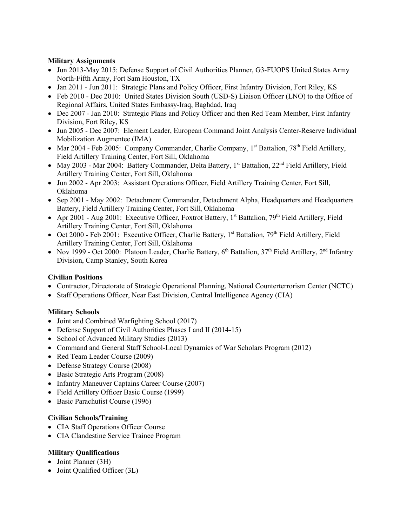### **Military Assignments**

- Jun 2013-May 2015: Defense Support of Civil Authorities Planner, G3-FUOPS United States Army North-Fifth Army, Fort Sam Houston, TX
- Jan 2011 Jun 2011: Strategic Plans and Policy Officer, First Infantry Division, Fort Riley, KS
- Feb 2010 Dec 2010: United States Division South (USD-S) Liaison Officer (LNO) to the Office of Regional Affairs, United States Embassy-Iraq, Baghdad, Iraq
- Dec 2007 Jan 2010: Strategic Plans and Policy Officer and then Red Team Member, First Infantry Division, Fort Riley, KS
- Jun 2005 Dec 2007: Element Leader, European Command Joint Analysis Center-Reserve Individual Mobilization Augmentee (IMA)
- Mar 2004 Feb 2005: Company Commander, Charlie Company,  $1^{st}$  Battalion,  $78^{th}$  Field Artillery, Field Artillery Training Center, Fort Sill, Oklahoma
- May 2003 Mar 2004: Battery Commander, Delta Battery, 1<sup>st</sup> Battalion, 22<sup>nd</sup> Field Artillery, Field Artillery Training Center, Fort Sill, Oklahoma
- Jun 2002 Apr 2003: Assistant Operations Officer, Field Artillery Training Center, Fort Sill, Oklahoma
- Sep 2001 May 2002: Detachment Commander, Detachment Alpha, Headquarters and Headquarters Battery, Field Artillery Training Center, Fort Sill, Oklahoma
- Apr 2001 Aug 2001: Executive Officer, Foxtrot Battery, 1st Battalion, 79th Field Artillery, Field Artillery Training Center, Fort Sill, Oklahoma
- Oct 2000 Feb 2001: Executive Officer, Charlie Battery, 1<sup>st</sup> Battalion, 79<sup>th</sup> Field Artillery, Field Artillery Training Center, Fort Sill, Oklahoma
- Nov 1999 Oct 2000: Platoon Leader, Charlie Battery,  $6^{th}$  Battalion,  $37^{th}$  Field Artillery,  $2^{nd}$  Infantry Division, Camp Stanley, South Korea

### **Civilian Positions**

- Contractor, Directorate of Strategic Operational Planning, National Counterterrorism Center (NCTC)
- Staff Operations Officer, Near East Division, Central Intelligence Agency (CIA)

### **Military Schools**

- Joint and Combined Warfighting School (2017)
- Defense Support of Civil Authorities Phases I and II (2014-15)
- School of Advanced Military Studies (2013)
- Command and General Staff School-Local Dynamics of War Scholars Program (2012)
- Red Team Leader Course (2009)
- Defense Strategy Course (2008)
- Basic Strategic Arts Program (2008)
- Infantry Maneuver Captains Career Course (2007)
- Field Artillery Officer Basic Course (1999)
- Basic Parachutist Course (1996)

### **Civilian Schools/Training**

- CIA Staff Operations Officer Course
- CIA Clandestine Service Trainee Program

## **Military Qualifications**

- Joint Planner (3H)
- Joint Qualified Officer (3L)